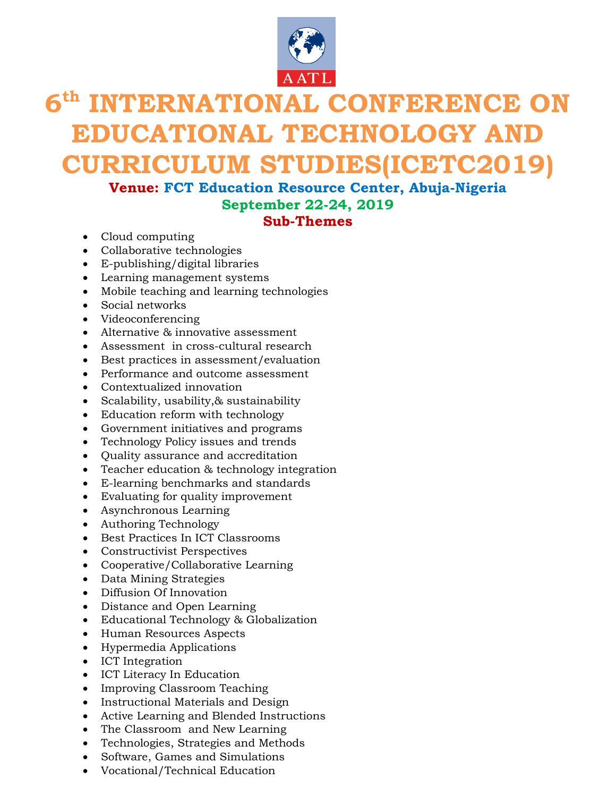

# **6 th INTERNATIONAL CONFERENCE ON EDUCATIONAL TECHNOLOGY AND CURRICULUM STUDIES(ICETC2019)**

# **Venue: FCT Education Resource Center, Abuja-Nigeria September 22-24, 2019 Sub-Themes**

- Cloud computing
- Collaborative technologies
- E-publishing/digital libraries
- Learning management systems
- Mobile teaching and learning technologies
- Social networks
- Videoconferencing
- Alternative & innovative assessment
- Assessment in cross-cultural research
- Best practices in assessment/evaluation
- Performance and outcome assessment
- Contextualized innovation
- Scalability, usability,& sustainability
- Education reform with technology
- Government initiatives and programs
- Technology Policy issues and trends
- Quality assurance and accreditation
- Teacher education & technology integration
- E-learning benchmarks and standards
- Evaluating for quality improvement
- Asynchronous Learning
- Authoring Technology
- Best Practices In ICT Classrooms
- Constructivist Perspectives
- Cooperative/Collaborative Learning
- Data Mining Strategies
- Diffusion Of Innovation
- Distance and Open Learning
- Educational Technology & Globalization
- Human Resources Aspects
- Hypermedia Applications
- ICT Integration
- ICT Literacy In Education
- Improving Classroom Teaching
- Instructional Materials and Design
- Active Learning and Blended Instructions
- The Classroom and New Learning
- Technologies, Strategies and Methods
- Software, Games and Simulations
- Vocational/Technical Education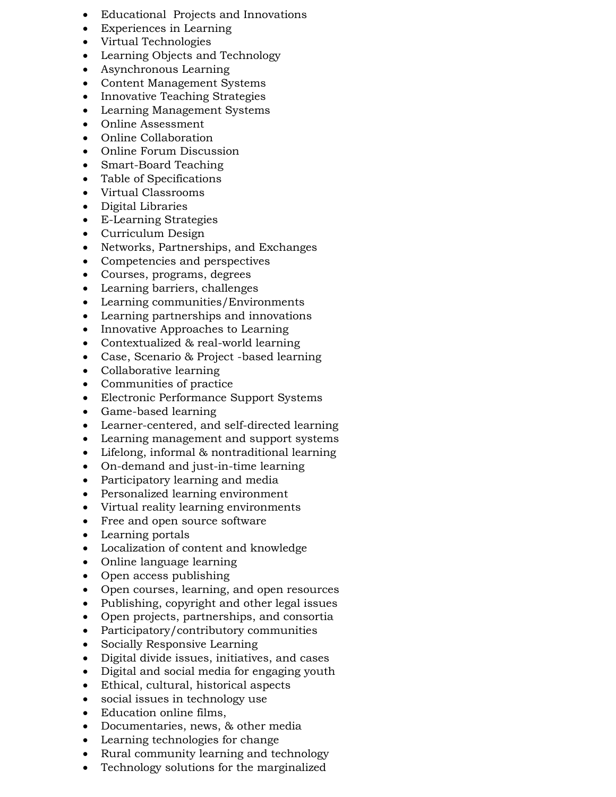- Educational Projects and Innovations
- Experiences in Learning
- Virtual Technologies
- Learning Objects and Technology
- Asynchronous Learning
- Content Management Systems
- Innovative Teaching Strategies
- Learning Management Systems
- Online Assessment
- Online Collaboration
- Online Forum Discussion
- Smart-Board Teaching
- Table of Specifications
- Virtual Classrooms
- Digital Libraries
- E-Learning Strategies
- Curriculum Design
- Networks, Partnerships, and Exchanges
- Competencies and perspectives
- Courses, programs, degrees
- Learning barriers, challenges
- Learning communities/Environments
- Learning partnerships and innovations
- Innovative Approaches to Learning
- Contextualized & real-world learning
- Case, Scenario & Project -based learning
- Collaborative learning
- Communities of practice
- Electronic Performance Support Systems
- Game-based learning
- Learner-centered, and self-directed learning
- Learning management and support systems
- Lifelong, informal & nontraditional learning
- On-demand and just-in-time learning
- Participatory learning and media
- Personalized learning environment
- Virtual reality learning environments
- Free and open source software
- Learning portals
- Localization of content and knowledge
- Online language learning
- Open access publishing
- Open courses, learning, and open resources
- Publishing, copyright and other legal issues
- Open projects, partnerships, and consortia
- Participatory/contributory communities
- Socially Responsive Learning
- Digital divide issues, initiatives, and cases
- Digital and social media for engaging youth
- Ethical, cultural, historical aspects
- social issues in technology use
- Education online films,
- Documentaries, news, & other media
- Learning technologies for change
- Rural community learning and technology
- Technology solutions for the marginalized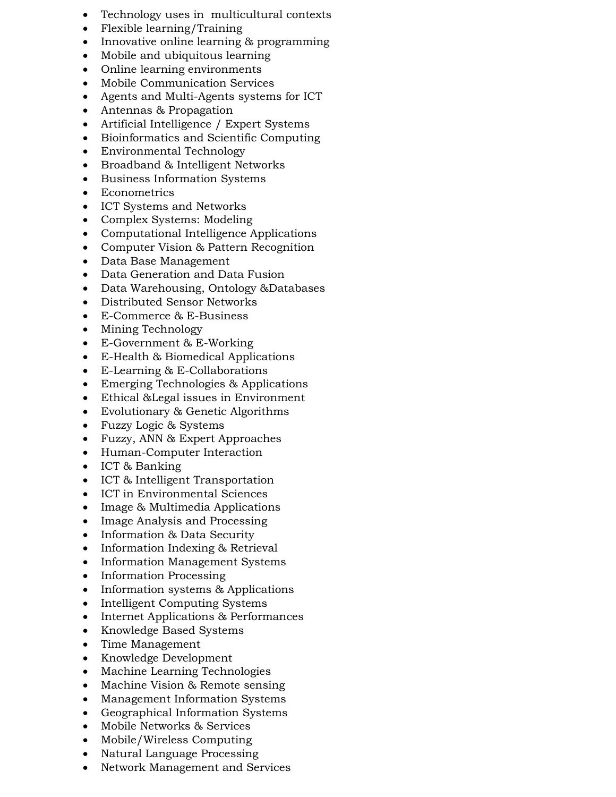- Technology uses in multicultural contexts
- Flexible learning/Training
- Innovative online learning & programming
- Mobile and ubiquitous learning
- Online learning environments
- Mobile Communication Services
- Agents and Multi-Agents systems for ICT
- Antennas & Propagation
- Artificial Intelligence / Expert Systems
- Bioinformatics and Scientific Computing
- Environmental Technology
- Broadband & Intelligent Networks
- Business Information Systems
- Econometrics
- ICT Systems and Networks
- Complex Systems: Modeling
- Computational Intelligence Applications
- Computer Vision & Pattern Recognition
- Data Base Management
- Data Generation and Data Fusion
- Data Warehousing, Ontology &Databases
- Distributed Sensor Networks
- E-Commerce & E-Business
- Mining Technology
- E-Government & E-Working
- E-Health & Biomedical Applications
- E-Learning & E-Collaborations
- Emerging Technologies & Applications
- Ethical &Legal issues in Environment
- Evolutionary & Genetic Algorithms
- Fuzzy Logic & Systems
- Fuzzy, ANN & Expert Approaches
- Human-Computer Interaction
- ICT & Banking
- ICT & Intelligent Transportation
- ICT in Environmental Sciences
- Image & Multimedia Applications
- Image Analysis and Processing
- Information & Data Security
- Information Indexing & Retrieval
- Information Management Systems
- Information Processing
- $\bullet$  Information systems & Applications
- Intelligent Computing Systems
- Internet Applications & Performances
- Knowledge Based Systems
- Time Management
- Knowledge Development
- Machine Learning Technologies
- Machine Vision & Remote sensing
- Management Information Systems
- Geographical Information Systems
- Mobile Networks & Services
- Mobile/Wireless Computing
- Natural Language Processing
- Network Management and Services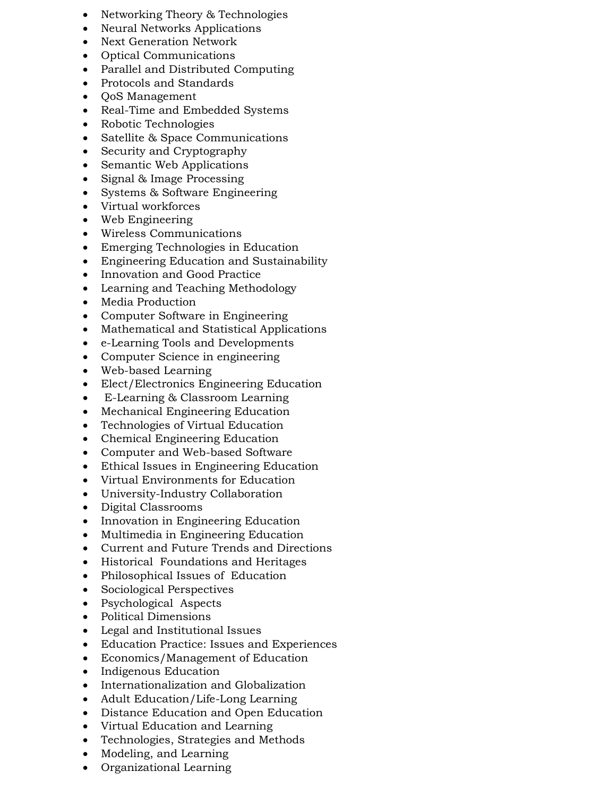- Networking Theory & Technologies
- Neural Networks Applications
- Next Generation Network
- Optical Communications
- Parallel and Distributed Computing
- Protocols and Standards
- **QoS Management**
- Real-Time and Embedded Systems
- Robotic Technologies
- Satellite & Space Communications
- Security and Cryptography
- Semantic Web Applications
- Signal & Image Processing
- Systems & Software Engineering
- Virtual workforces
- Web Engineering
- Wireless Communications
- Emerging Technologies in Education
- Engineering Education and Sustainability
- Innovation and Good Practice
- Learning and Teaching Methodology
- Media Production
- Computer Software in Engineering
- Mathematical and Statistical Applications
- e-Learning Tools and Developments
- Computer Science in engineering
- Web-based Learning
- Elect/Electronics Engineering Education
- E-Learning & Classroom Learning
- Mechanical Engineering Education
- Technologies of Virtual Education
- Chemical Engineering Education
- Computer and Web-based Software
- Ethical Issues in Engineering Education
- Virtual Environments for Education
- University-Industry Collaboration
- Digital Classrooms
- Innovation in Engineering Education
- Multimedia in Engineering Education
- Current and Future Trends and Directions
- Historical Foundations and Heritages
- Philosophical Issues of Education
- Sociological Perspectives
- Psychological Aspects
- Political Dimensions
- Legal and Institutional Issues
- Education Practice: Issues and Experiences
- Economics/Management of Education
- Indigenous Education
- Internationalization and Globalization
- Adult Education/Life-Long Learning
- Distance Education and Open Education
- Virtual Education and Learning
- Technologies, Strategies and Methods
- Modeling, and Learning
- Organizational Learning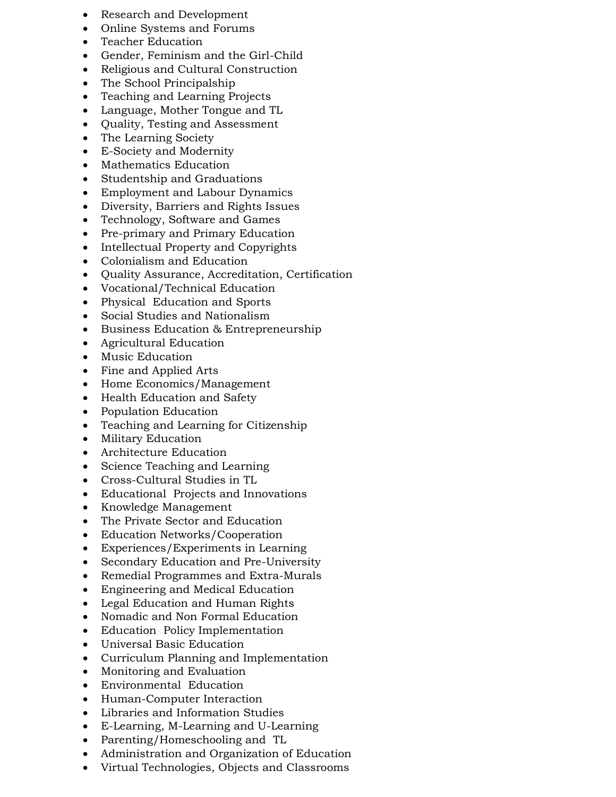- Research and Development
- Online Systems and Forums
- Teacher Education
- Gender, Feminism and the Girl-Child
- Religious and Cultural Construction
- The School Principalship
- Teaching and Learning Projects
- Language, Mother Tongue and TL
- Quality, Testing and Assessment
- The Learning Society
- E-Society and Modernity
- Mathematics Education
- Studentship and Graduations
- Employment and Labour Dynamics
- Diversity, Barriers and Rights Issues
- Technology, Software and Games
- Pre-primary and Primary Education
- Intellectual Property and Copyrights
- Colonialism and Education
- Quality Assurance, Accreditation, Certification
- Vocational/Technical Education
- Physical Education and Sports
- Social Studies and Nationalism
- Business Education & Entrepreneurship
- Agricultural Education
- Music Education
- Fine and Applied Arts
- Home Economics/Management
- Health Education and Safety
- Population Education
- Teaching and Learning for Citizenship
- Military Education
- Architecture Education
- Science Teaching and Learning
- Cross-Cultural Studies in TL
- Educational Projects and Innovations
- Knowledge Management
- The Private Sector and Education
- Education Networks/Cooperation
- Experiences/Experiments in Learning
- Secondary Education and Pre-University
- Remedial Programmes and Extra-Murals
- Engineering and Medical Education
- Legal Education and Human Rights
- Nomadic and Non Formal Education
- Education Policy Implementation
- Universal Basic Education
- Curriculum Planning and Implementation
- Monitoring and Evaluation
- Environmental Education
- Human-Computer Interaction
- Libraries and Information Studies
- E-Learning, M-Learning and U-Learning
- Parenting/Homeschooling and TL
- Administration and Organization of Education
- Virtual Technologies, Objects and Classrooms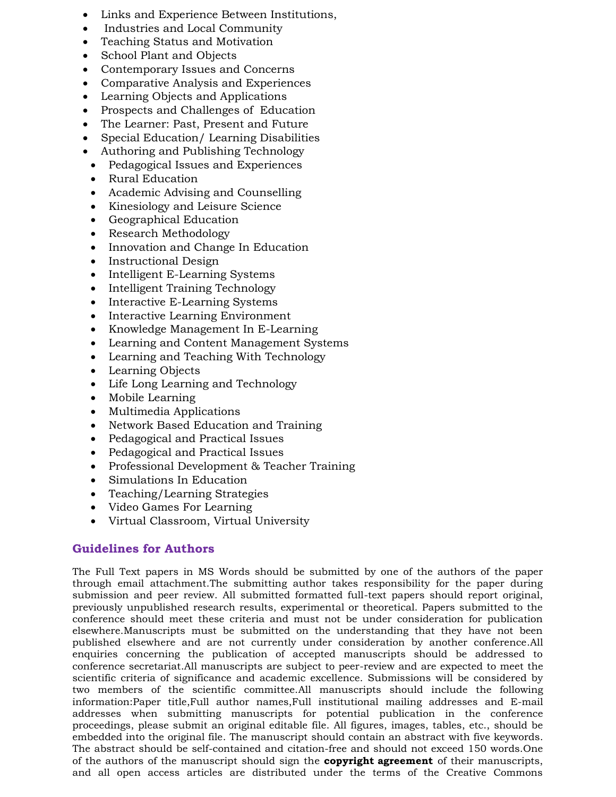- Links and Experience Between Institutions,
- Industries and Local Community
- Teaching Status and Motivation
- School Plant and Objects
- Contemporary Issues and Concerns
- Comparative Analysis and Experiences
- Learning Objects and Applications
- Prospects and Challenges of Education
- The Learner: Past, Present and Future
- Special Education/ Learning Disabilities
- Authoring and Publishing Technology
- Pedagogical Issues and Experiences
- Rural Education
- Academic Advising and Counselling
- Kinesiology and Leisure Science
- Geographical Education
- Research Methodology
- Innovation and Change In Education
- Instructional Design
- Intelligent E-Learning Systems
- Intelligent Training Technology
- Interactive E-Learning Systems
- Interactive Learning Environment
- Knowledge Management In E-Learning
- Learning and Content Management Systems
- Learning and Teaching With Technology
- Learning Objects
- Life Long Learning and Technology
- Mobile Learning
- Multimedia Applications
- Network Based Education and Training
- Pedagogical and Practical Issues
- Pedagogical and Practical Issues
- Professional Development & Teacher Training
- Simulations In Education
- Teaching/Learning Strategies
- Video Games For Learning
- Virtual Classroom, Virtual University

## **Guidelines for Authors**

The Full Text papers in MS Words should be submitted by one of the authors of the paper through email attachment.The submitting author takes responsibility for the paper during submission and peer review. All submitted formatted full-text papers should report original, previously unpublished research results, experimental or theoretical. Papers submitted to the conference should meet these criteria and must not be under consideration for publication elsewhere.Manuscripts must be submitted on the understanding that they have not been published elsewhere and are not currently under consideration by another conference.All enquiries concerning the publication of accepted manuscripts should be addressed to conference secretariat.All manuscripts are subject to peer-review and are expected to meet the scientific criteria of significance and academic excellence. Submissions will be considered by two members of the scientific committee.All manuscripts should include the following information:Paper title,Full author names,Full institutional mailing addresses and E-mail addresses when submitting manuscripts for potential publication in the conference proceedings, please [submit an original editable file.](http://www.waset.org/submit.php) All figures, images, tables, etc., should be embedded into the original file. The manuscript should contain an abstract with five keywords. The abstract should be self-contained and citation-free and should not exceed 150 words.One of the authors of the manuscript should sign the **copyright agreement** of their manuscripts, and all open access articles are distributed under the terms of the Creative Commons